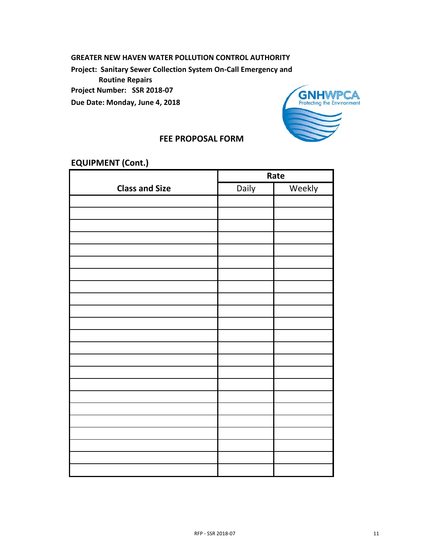## **GREATER NEW HAVEN WATER POLLUTION CONTROL AUTHORITY**

**Project: Sanitary Sewer Collection System On-Call Emergency and** 

 **Routine Repairs**

**Project Number: SSR 2018-07**

**Due Date: Monday, June 4, 2018**



## **FEE PROPOSAL FORM**

## **EQUIPMENT (Cont.)**

|                       | Rate  |              |  |
|-----------------------|-------|--------------|--|
| <b>Class and Size</b> | Daily | <b>Rekly</b> |  |
|                       |       |              |  |
|                       |       |              |  |
|                       |       |              |  |
|                       |       |              |  |
|                       |       |              |  |
|                       |       |              |  |
|                       |       |              |  |
| $\mathbf{z}$          |       |              |  |
| June 1                |       |              |  |
|                       |       |              |  |
|                       |       |              |  |
|                       |       |              |  |
|                       |       |              |  |
|                       |       |              |  |
|                       |       |              |  |
|                       |       |              |  |
|                       |       |              |  |
|                       |       |              |  |
|                       |       |              |  |
|                       |       |              |  |
|                       |       |              |  |
|                       |       |              |  |
|                       |       |              |  |
|                       |       |              |  |
|                       |       |              |  |
|                       |       |              |  |
|                       |       |              |  |
|                       |       |              |  |
| RFP - SSR 2018-07     |       |              |  |